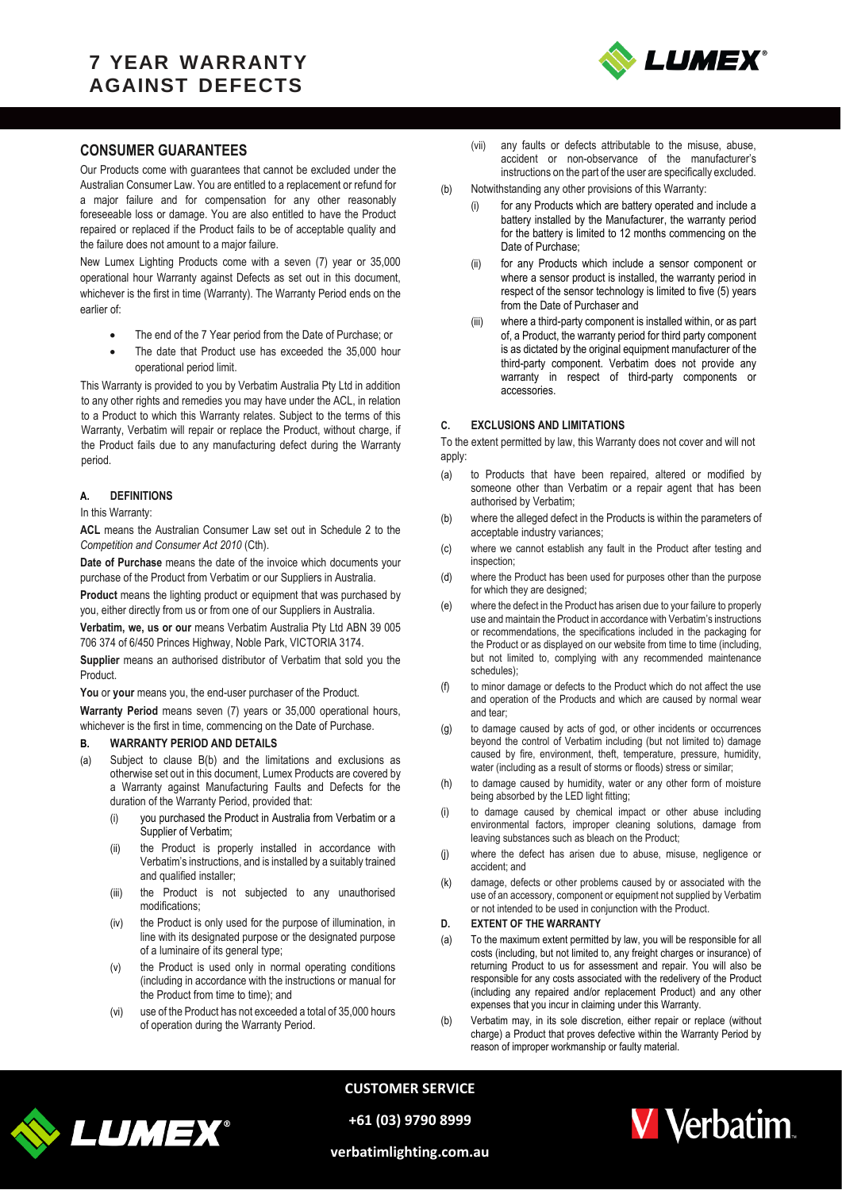## **7 YEAR WARRANTY AGAINST DEFECTS**



### **CONSUMER GUARANTEES**

Our Products come with guarantees that cannot be excluded under the Australian Consumer Law. You are entitled to a replacement or refund for a major failure and for compensation for any other reasonably foreseeable loss or damage. You are also entitled to have the Product repaired or replaced if the Product fails to be of acceptable quality and the failure does not amount to a major failure.

New Lumex Lighting Products come with a seven (7) year or 35,000 operational hour Warranty against Defects as set out in this document, whichever is the first in time (Warranty). The Warranty Period ends on the earlier of:

- The end of the 7 Year period from the Date of Purchase; or
- The date that Product use has exceeded the 35,000 hour operational period limit.

This Warranty is provided to you by Verbatim Australia Pty Ltd in addition to any other rights and remedies you may have under the ACL, in relation to a Product to which this Warranty relates. Subject to the terms of this Warranty, Verbatim will repair or replace the Product, without charge, if the Product fails due to any manufacturing defect during the Warranty period.

#### **A. DEFINITIONS**

#### In this Warranty:

**ACL** means the Australian Consumer Law set out in Schedule 2 to the *Competition and Consumer Act 2010* (Cth).

**Date of Purchase** means the date of the invoice which documents your purchase of the Product from Verbatim or our Suppliers in Australia.

**Product** means the lighting product or equipment that was purchased by you, either directly from us or from one of our Suppliers in Australia.

**Verbatim, we, us or our** means Verbatim Australia Pty Ltd ABN 39 005 706 374 of 6/450 Princes Highway, Noble Park, VICTORIA 3174.

**Supplier** means an authorised distributor of Verbatim that sold you the Product.

You or your means you, the end-user purchaser of the Product.

**Warranty Period** means seven (7) years or 35,000 operational hours, whichever is the first in time, commencing on the Date of Purchase.

#### <span id="page-0-0"></span>**B. WARRANTY PERIOD AND DETAILS**

- (a) Subject to clause [B\(b\)](#page-0-0) and the limitations and exclusions as otherwise set out in this document, Lumex Products are covered by a Warranty against Manufacturing Faults and Defects for the duration of the Warranty Period, provided that:
	- (i) you purchased the Product in Australia from Verbatim or a Supplier of Verbatim;
	- (ii) the Product is properly installed in accordance with Verbatim's instructions, and is installed by a suitably trained and qualified installer;
	- (iii) the Product is not subjected to any unauthorised modifications;
	- (iv) the Product is only used for the purpose of illumination, in line with its designated purpose or the designated purpose of a luminaire of its general type;
	- (v) the Product is used only in normal operating conditions (including in accordance with the instructions or manual for the Product from time to time); and
	- (vi) use of the Product has not exceeded a total of 35,000 hours of operation during the Warranty Period.
- (vii) any faults or defects attributable to the misuse, abuse, accident or non-observance of the manufacturer's instructions on the part of the user are specifically excluded.
- (b) Notwithstanding any other provisions of this Warranty:
	- for any Products which are battery operated and include a battery installed by the Manufacturer, the warranty period for the battery is limited to 12 months commencing on the Date of Purchase;
	- (ii) for any Products which include a sensor component or where a sensor product is installed, the warranty period in respect of the sensor technology is limited to five (5) years from the Date of Purchaser and
	- (iii) where a third-party component is installed within, or as part of, a Product, the warranty period for third party component is as dictated by the original equipment manufacturer of the third-party component. Verbatim does not provide any warranty in respect of third-party components or accessories.

#### **C. EXCLUSIONS AND LIMITATIONS**

To the extent permitted by law, this Warranty does not cover and will not apply:

- (a) to Products that have been repaired, altered or modified by someone other than Verbatim or a repair agent that has been authorised by Verbatim;
- (b) where the alleged defect in the Products is within the parameters of acceptable industry variances;
- (c) where we cannot establish any fault in the Product after testing and inspection;
- (d) where the Product has been used for purposes other than the purpose for which they are designed;
- (e) where the defect in the Product has arisen due to your failure to properly use and maintain the Product in accordance with Verbatim's instructions or recommendations, the specifications included in the packaging for the Product or as displayed on our website from time to time (including, but not limited to, complying with any recommended maintenance schedules);
- (f) to minor damage or defects to the Product which do not affect the use and operation of the Products and which are caused by normal wear and tear;
- (g) to damage caused by acts of god, or other incidents or occurrences beyond the control of Verbatim including (but not limited to) damage caused by fire, environment, theft, temperature, pressure, humidity, water (including as a result of storms or floods) stress or similar;
- (h) to damage caused by humidity, water or any other form of moisture being absorbed by the LED light fitting;
- (i) to damage caused by chemical impact or other abuse including environmental factors, improper cleaning solutions, damage from leaving substances such as bleach on the Product;
- (j) where the defect has arisen due to abuse, misuse, negligence or accident; and
- (k) damage, defects or other problems caused by or associated with the use of an accessory, component or equipment not supplied by Verbatim or not intended to be used in conjunction with the Product.

#### **D. EXTENT OF THE WARRANTY**

- (a) To the maximum extent permitted by law, you will be responsible for all costs (including, but not limited to, any freight charges or insurance) of returning Product to us for assessment and repair. You will also be responsible for any costs associated with the redelivery of the Product (including any repaired and/or replacement Product) and any other expenses that you incur in claiming under this Warranty.
- (b) Verbatim may, in its sole discretion, either repair or replace (without charge) a Product that proves defective within the Warranty Period by reason of improper workmanship or faulty material.



**CUSTOMER SERVICE**

**+61 (03) 9790 8999**



**verbatimlighting.com.au**